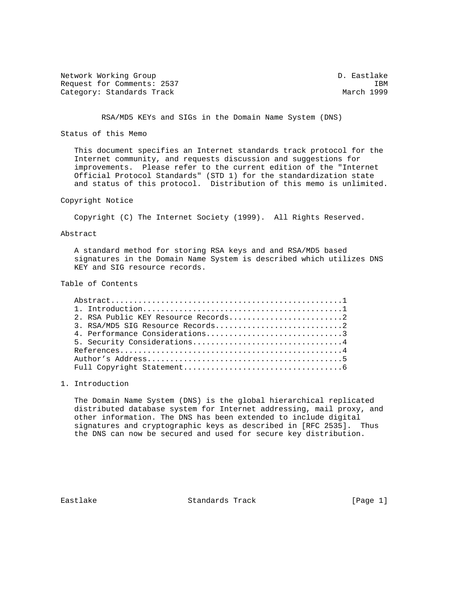Network Working Group and the control of the D. Eastlake Request for Comments: 2537 IBM<br>Category: Standards Track Category: March 1999 Category: Standards Track

RSA/MD5 KEYs and SIGs in the Domain Name System (DNS)

Status of this Memo

 This document specifies an Internet standards track protocol for the Internet community, and requests discussion and suggestions for improvements. Please refer to the current edition of the "Internet Official Protocol Standards" (STD 1) for the standardization state and status of this protocol. Distribution of this memo is unlimited.

Copyright Notice

Copyright (C) The Internet Society (1999). All Rights Reserved.

Abstract

 A standard method for storing RSA keys and and RSA/MD5 based signatures in the Domain Name System is described which utilizes DNS KEY and SIG resource records.

Table of Contents

| 4. Performance Considerations3 |
|--------------------------------|
| 5. Security Considerations4    |
|                                |
|                                |
|                                |

## 1. Introduction

 The Domain Name System (DNS) is the global hierarchical replicated distributed database system for Internet addressing, mail proxy, and other information. The DNS has been extended to include digital signatures and cryptographic keys as described in [RFC 2535]. Thus the DNS can now be secured and used for secure key distribution.

Eastlake Standards Track [Page 1]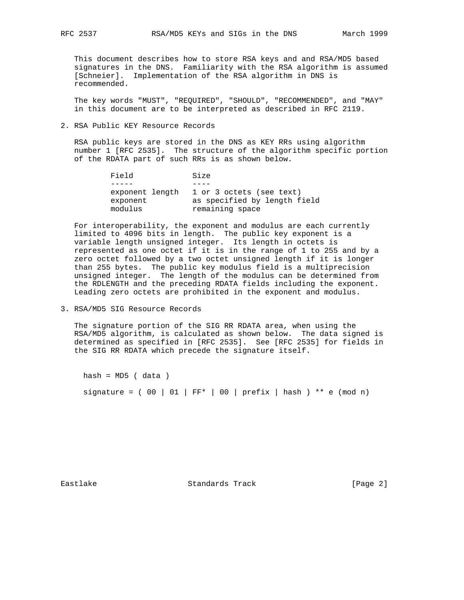This document describes how to store RSA keys and and RSA/MD5 based signatures in the DNS. Familiarity with the RSA algorithm is assumed [Schneier]. Implementation of the RSA algorithm in DNS is recommended.

 The key words "MUST", "REQUIRED", "SHOULD", "RECOMMENDED", and "MAY" in this document are to be interpreted as described in RFC 2119.

2. RSA Public KEY Resource Records

 RSA public keys are stored in the DNS as KEY RRs using algorithm number 1 [RFC 2535]. The structure of the algorithm specific portion of the RDATA part of such RRs is as shown below.

| Field                                  | Size                                                                        |
|----------------------------------------|-----------------------------------------------------------------------------|
|                                        |                                                                             |
| exponent length<br>exponent<br>modulus | 1 or 3 octets (see text)<br>as specified by length field<br>remaining space |

 For interoperability, the exponent and modulus are each currently limited to 4096 bits in length. The public key exponent is a variable length unsigned integer. Its length in octets is represented as one octet if it is in the range of 1 to 255 and by a zero octet followed by a two octet unsigned length if it is longer than 255 bytes. The public key modulus field is a multiprecision unsigned integer. The length of the modulus can be determined from the RDLENGTH and the preceding RDATA fields including the exponent. Leading zero octets are prohibited in the exponent and modulus.

3. RSA/MD5 SIG Resource Records

 The signature portion of the SIG RR RDATA area, when using the RSA/MD5 algorithm, is calculated as shown below. The data signed is determined as specified in [RFC 2535]. See [RFC 2535] for fields in the SIG RR RDATA which precede the signature itself.

 $hash = MD5$  (data) signature =  $( 00 | 01 | FF<sup>*</sup> | 00 | prefix | hash ) <sup>**</sup> e (mod n)$ 

Eastlake Standards Track [Page 2]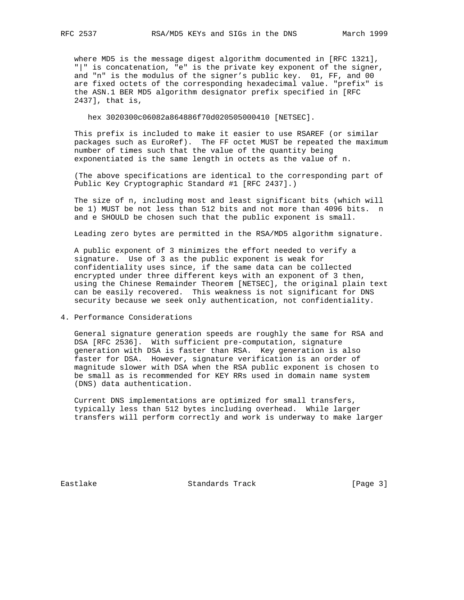where MD5 is the message digest algorithm documented in [RFC 1321], "|" is concatenation, "e" is the private key exponent of the signer, and "n" is the modulus of the signer's public key. 01, FF, and 00 are fixed octets of the corresponding hexadecimal value. "prefix" is the ASN.1 BER MD5 algorithm designator prefix specified in [RFC 2437], that is,

hex 3020300c06082a864886f70d020505000410 [NETSEC].

 This prefix is included to make it easier to use RSAREF (or similar packages such as EuroRef). The FF octet MUST be repeated the maximum number of times such that the value of the quantity being exponentiated is the same length in octets as the value of n.

 (The above specifications are identical to the corresponding part of Public Key Cryptographic Standard #1 [RFC 2437].)

 The size of n, including most and least significant bits (which will be 1) MUST be not less than 512 bits and not more than 4096 bits. n and e SHOULD be chosen such that the public exponent is small.

Leading zero bytes are permitted in the RSA/MD5 algorithm signature.

 A public exponent of 3 minimizes the effort needed to verify a signature. Use of 3 as the public exponent is weak for confidentiality uses since, if the same data can be collected encrypted under three different keys with an exponent of 3 then, using the Chinese Remainder Theorem [NETSEC], the original plain text can be easily recovered. This weakness is not significant for DNS security because we seek only authentication, not confidentiality.

4. Performance Considerations

 General signature generation speeds are roughly the same for RSA and DSA [RFC 2536]. With sufficient pre-computation, signature generation with DSA is faster than RSA. Key generation is also faster for DSA. However, signature verification is an order of magnitude slower with DSA when the RSA public exponent is chosen to be small as is recommended for KEY RRs used in domain name system (DNS) data authentication.

 Current DNS implementations are optimized for small transfers, typically less than 512 bytes including overhead. While larger transfers will perform correctly and work is underway to make larger

Eastlake Standards Track [Page 3]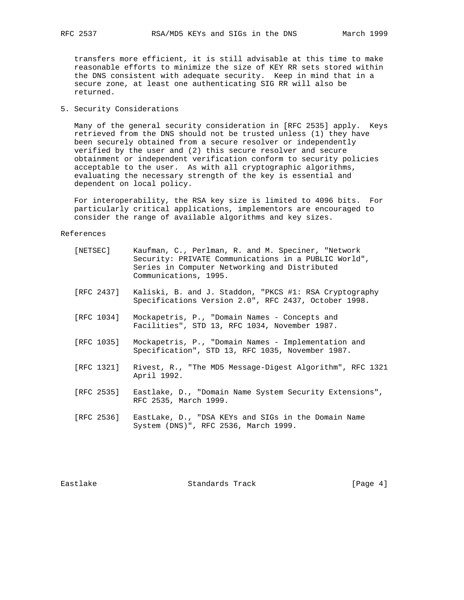transfers more efficient, it is still advisable at this time to make reasonable efforts to minimize the size of KEY RR sets stored within the DNS consistent with adequate security. Keep in mind that in a secure zone, at least one authenticating SIG RR will also be returned.

## 5. Security Considerations

 Many of the general security consideration in [RFC 2535] apply. Keys retrieved from the DNS should not be trusted unless (1) they have been securely obtained from a secure resolver or independently verified by the user and (2) this secure resolver and secure obtainment or independent verification conform to security policies acceptable to the user. As with all cryptographic algorithms, evaluating the necessary strength of the key is essential and dependent on local policy.

 For interoperability, the RSA key size is limited to 4096 bits. For particularly critical applications, implementors are encouraged to consider the range of available algorithms and key sizes.

## References

| [NETSEC]   | Kaufman, C., Perlman, R. and M. Speciner, "Network<br>Security: PRIVATE Communications in a PUBLIC World",<br>Series in Computer Networking and Distributed<br>Communications, 1995. |
|------------|--------------------------------------------------------------------------------------------------------------------------------------------------------------------------------------|
| [RFC 2437] | Kaliski, B. and J. Staddon, "PKCS #1: RSA Cryptography<br>Specifications Version 2.0", RFC 2437, October 1998.                                                                       |
| [RFC 1034] | Mockapetris, P., "Domain Names - Concepts and<br>Facilities", STD 13, RFC 1034, November 1987.                                                                                       |
| [RFC 1035] | Mockapetris, P., "Domain Names - Implementation and<br>Specification", STD 13, RFC 1035, November 1987.                                                                              |
| [RFC 1321] | Rivest, R., "The MD5 Message-Digest Algorithm", RFC 1321<br>April 1992.                                                                                                              |
| [RFC 2535] | Eastlake, D., "Domain Name System Security Extensions",<br>RFC 2535, March 1999.                                                                                                     |
| [RFC 2536] | EastLake, D., "DSA KEYs and SIGs in the Domain Name<br>System (DNS)", RFC 2536, March 1999.                                                                                          |
|            |                                                                                                                                                                                      |

Eastlake Standards Track [Page 4]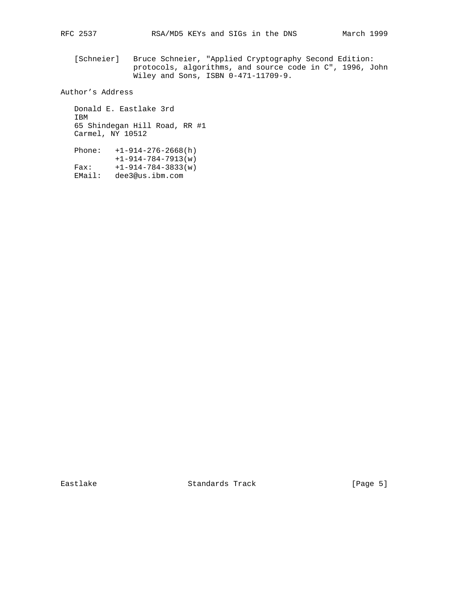[Schneier] Bruce Schneier, "Applied Cryptography Second Edition: protocols, algorithms, and source code in C", 1996, John Wiley and Sons, ISBN 0-471-11709-9.

Author's Address

 Donald E. Eastlake 3rd IBM 65 Shindegan Hill Road, RR #1 Carmel, NY 10512

 Phone: +1-914-276-2668(h) +1-914-784-7913(w) Fax: +1-914-784-3833(w) EMail: dee3@us.ibm.com

Eastlake Standards Track [Page 5]